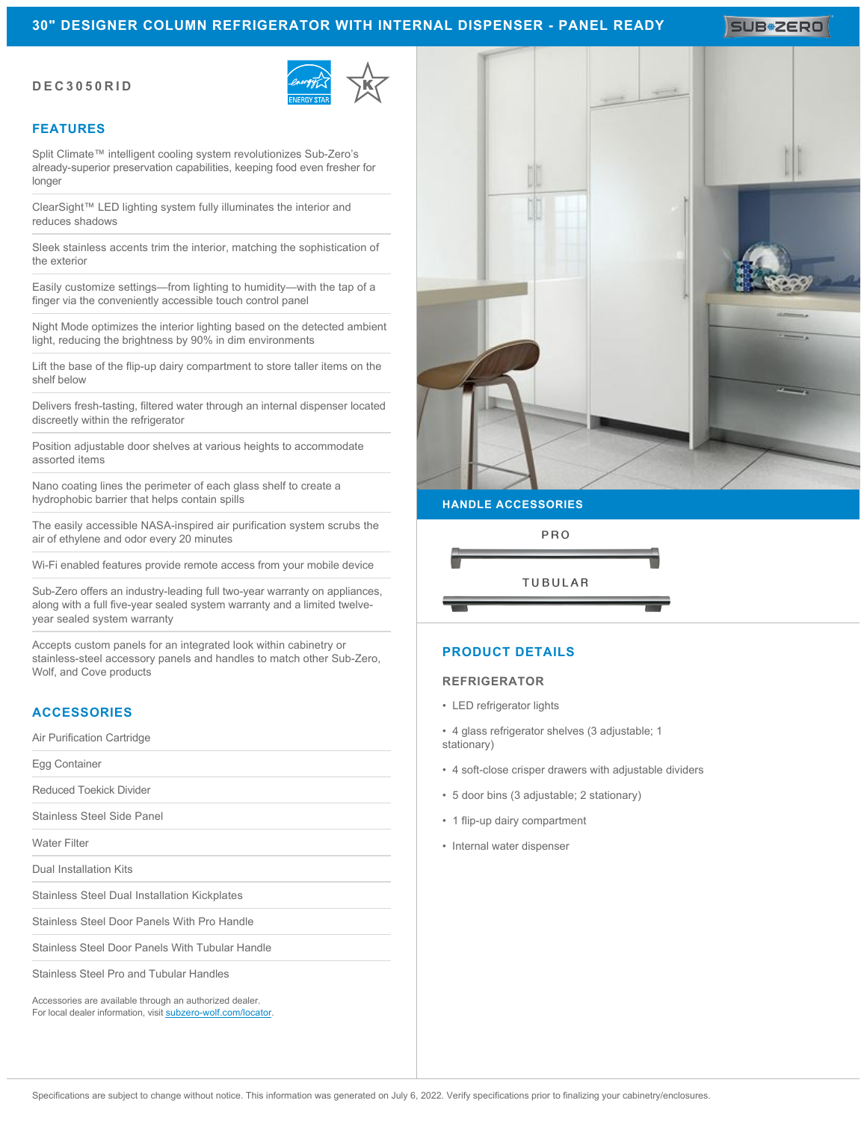# **30" DESIGNER COLUMN REFRIGERATOR WITH INTERNAL DISPENSER - PANEL READY**

SUB#2ERO

### **DEC3050RID**



## **FEATURES**

Split Climate™ intelligent cooling system revolutionizes Sub-Zero's already-superior preservation capabilities, keeping food even fresher for longer

ClearSight™ LED lighting system fully illuminates the interior and reduces shadows

Sleek stainless accents trim the interior, matching the sophistication of the exterior

Easily customize settings—from lighting to humidity—with the tap of a finger via the conveniently accessible touch control panel

Night Mode optimizes the interior lighting based on the detected ambient light, reducing the brightness by 90% in dim environments

Lift the base of the flip-up dairy compartment to store taller items on the shelf below

Delivers fresh-tasting, filtered water through an internal dispenser located discreetly within the refrigerator

Position adjustable door shelves at various heights to accommodate assorted items

Nano coating lines the perimeter of each glass shelf to create a hydrophobic barrier that helps contain spills

The easily accessible NASA-inspired air purification system scrubs the air of ethylene and odor every 20 minutes

Wi-Fi enabled features provide remote access from your mobile device

Sub-Zero offers an industry-leading full two-year warranty on appliances, along with a full five-year sealed system warranty and a limited twelveyear sealed system warranty

Accepts custom panels for an integrated look within cabinetry or stainless-steel accessory panels and handles to match other Sub-Zero, Wolf, and Cove products

# **ACCESSORIES**

Air Purification Cartridge

Egg Container

Reduced Toekick Divider

Stainless Steel Side Panel

Water Filter

Dual Installation Kits

Stainless Steel Dual Installation Kickplates

Stainless Steel Door Panels With Pro Handle

Stainless Steel Door Panels With Tubular Handle

Stainless Steel Pro and Tubular Handles

Accessories are available through an authorized dealer. For local dealer information, visit [subzero-wolf.com/locator.](http://www.subzero-wolf.com/locator)



# PRO **TUBULAR**

# **PRODUCT DETAILS**

#### **REFRIGERATOR**

- LED refrigerator lights
- 4 glass refrigerator shelves (3 adjustable; 1 stationary)
- 4 soft-close crisper drawers with adjustable dividers
- 5 door bins (3 adjustable; 2 stationary)
- 1 flip-up dairy compartment
- Internal water dispenser